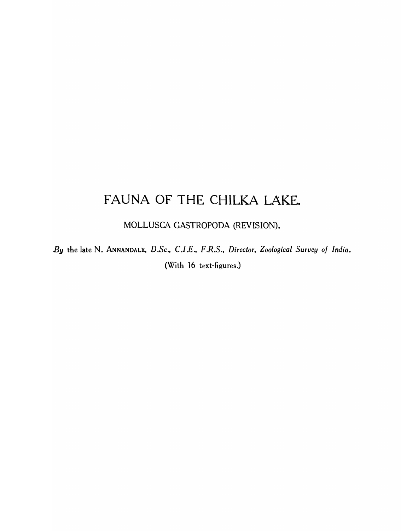# FAUNA OF THE CHILKA LAKE.

MOLLUSCA GASTROPODA (REVISION).

*By* the late N. ANNANDALE, *D.Sc., C.I.E., F.R.S., Director, Zoological Survey of India.*  (With 16 text-figures.)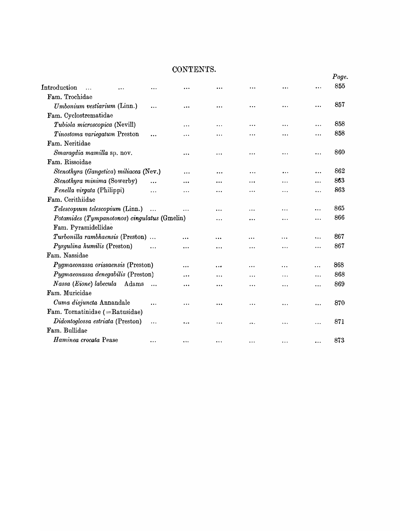# CONTEN'fS.

|                                                              |       |           |           |                      |           |           |           | Page. |
|--------------------------------------------------------------|-------|-----------|-----------|----------------------|-----------|-----------|-----------|-------|
| Introduction<br>.                                            |       |           |           |                      |           | $\ddotsc$ |           | 855   |
| Fam. Trochidae                                               |       |           |           |                      |           |           |           |       |
| Umbonium vestiarium (Linn.)                                  |       | $\cdots$  | $\ddotsc$ | $\ddotsc$            |           | .         |           | 857   |
| Fam. Cyclostrematidae                                        |       |           |           |                      |           |           |           |       |
| Tubiola microscopica (Nevill)                                |       |           | .         |                      | $\ddotsc$ |           | $\cdots$  | 858   |
| Tinostoma variegatum Preston                                 |       |           | .         |                      |           |           |           | 858   |
| Fam. Neritidae                                               |       |           |           |                      |           |           |           |       |
| Smaragdia mamilla sp. nov.                                   |       |           |           |                      | .         | .         |           | 860   |
| Fam. Rissoidae                                               |       |           |           |                      |           |           |           |       |
| Stenothyra (Gangetica) miliacea (Nev.)                       |       |           | $\ddotsc$ | .                    | $\cdots$  | $\cdots$  |           | 862   |
| Stenothyra minima (Sowerby)                                  |       |           |           |                      |           | .         |           | 863   |
| Fenella virgata (Philippi)                                   |       |           |           |                      |           | .         |           | 863   |
| Fam. Cerithiidae                                             |       |           |           |                      |           |           |           |       |
| Telescopum telescopium (Linn.)                               |       | $\ddotsc$ | .         | .                    | .         |           |           | 865   |
| Potamides (Tympanotonos) cingulatus (Gmelin)<br><br>$\cdots$ |       |           |           |                      |           |           | 866       |       |
| Fam. Pyramidellidae                                          |       |           |           |                      |           |           |           |       |
| Turbonilla rambhaensis (Preston)                             |       |           |           |                      |           |           | $\ddotsc$ | 867   |
| Pyrgulina humilis (Preston)                                  |       | $\ddotsc$ | .         | .                    | .         | .         | .         | 867   |
| Fam. Nassidae                                                |       |           |           |                      |           |           |           |       |
| Pygmaeonassa orissaensis (Preston)                           |       |           |           | $\ddotsc$            | .         | .         | .         | 868   |
| Pygmaeonassa denegabilis (Preston)                           |       |           | .         |                      |           | .         |           | 868   |
| Nassa (Eione) labecula                                       | Adams | $\ddotsc$ | .         |                      | .         | .         | .         | 869   |
| Fam. Muricidae                                               |       |           |           |                      |           |           |           |       |
| Cuma disjuncta Annandale                                     |       |           | .         | .                    | .         | .         |           | 870   |
| Fam. Tornatinidae (=Ratusidae)                               |       |           |           |                      |           |           |           |       |
| Didontoglossa estriata (Preston)                             |       | $\cdots$  |           | $\ddot{\phantom{0}}$ |           | $\cdots$  | .         | 871   |
| Fam. Bullidae                                                |       |           |           |                      |           |           |           |       |
| Haminea crocata Pease                                        |       |           | $\ddotsc$ |                      |           |           |           | 873   |
|                                                              |       |           |           |                      |           |           |           |       |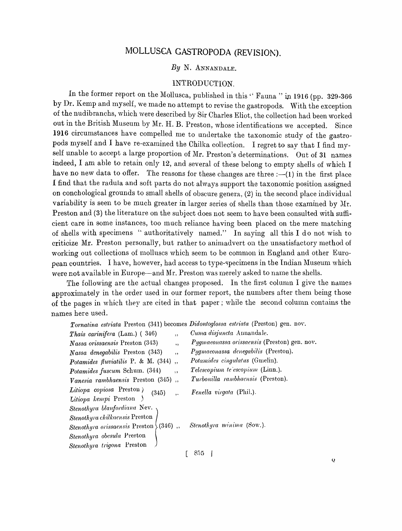# MOLLUSCA GASTROPODA (REVISION).

# *By* N. ANNANDALE.

# INTRODUCTION.

In the former report on the Mollusca, published in this " Fauna " in 1916 (pp. 329-366 by Dr. Kemp and myself, we made no attempt to revise the gastropods. With the exception of the nudibranchs, which were described by Sir Charles Eliot, the collection had been worked out in the British Museum by Mr. H. B. Preston, whose identifications we accepted. Since 1916 circumstances have compelled me to undertake the taxonomic study of the gastropods myself and I have re-examined the Chilka collection. I regret to say that I find myself unable to accept a large proportion of Mr. Preston's determinations. Out of 31 names indeed, I am able to retain only 12, and several of these belong to empty shells of which I have no new data to offer. The reasons for these changes are three  $:-(1)$  in the first place I find that the radula and soft parts do not always support the taxonomic position assigned on conchological grounds to small shells of obscure genera, (2) in the second place individual variability is seen to be much greater in larger series of shells than those examined by Mr. Preston and (3) the literature on the subject does not seem to have been consulted with sufficient care in some instances, too much reliance having been placed on the mere matching of shells with specimens '" authoritatively named." In saying all this I do not wish to criticize Mr. Preston personally, but rather to animadvert on the unsatisfactory method of working out collections of molluscs which seem to be common in England and other European countries. I have, however, had access to type-specimens in the Indian Museum which were not available in Europe—and Mr. Preston was merely asked to name the shells.

The following are the actual changes proposed. In the first column I give the names approximately in the order used in our former report, the numbers after them being those of the pages in which they are cited in that paper; while the second column contains the names here used.

*Tornatina estriata* Preston (341) becomes *Didontoglossa estriata* (Preston) gen. noy.

| <i>Thais carinifera</i> (Lam.) (346)<br>$,$ ,            | Cuma disjuncta Annandale.                    |
|----------------------------------------------------------|----------------------------------------------|
| Nassa orissaensis Preston (343)<br>, ,                   | Pygmaeonassa orissaensis (Preston) gen. nov. |
| Nassa denegabilis Preston (343)<br>, ,                   | Pygmaeonassa denegabilis (Preston).          |
| Potamides fluviatilis P. & M. (344),                     | Potamides cingulatus (Gmelin).               |
| Potamides fuscum Schum. (344)<br>$\overline{\mathbf{1}}$ | Telescopium te escopium (Linn.).             |
| Vanesia rambhaensis Preston (345),                       | Turbonilla rambhaensis (Preston).            |
| Litiopa copiosa Preston)<br>(345)<br>,                   | Fenella virgata (Phil.).                     |
| Litiopa kempi Preston                                    |                                              |
| Stenothyra blanfordiana Nev.                             |                                              |
| Stenothyra chilkaensis Preston                           |                                              |
| Stenothyra orissaensis Preston $(346)$ ,                 | Stenothyra minima (Sow.).                    |
| Stenothyra obesula Preston                               |                                              |
| Stenothyra trigona Preston                               |                                              |
|                                                          | 855                                          |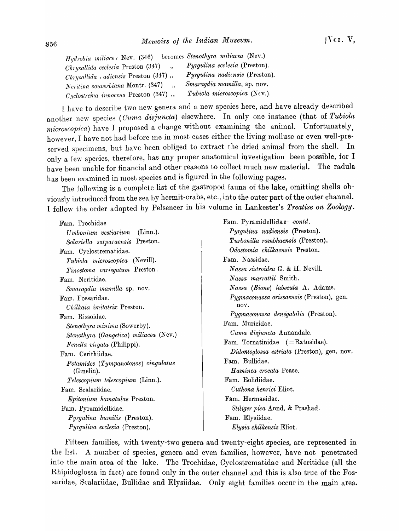| Hydrobia miliace (Nev. (346)                      | becomes Stenothyra miliacea (Nev.)   |
|---------------------------------------------------|--------------------------------------|
| $Chrysallida\ ecclesia\ Present(347)$<br>$\cdots$ | <i>Pyrgulina ecclesia</i> (Preston). |
| <i>Chrysallida i adiensis</i> Preston $(347)$ ,   | Pyrgulina nadiensis (Preston).       |
| Neritina souverliana Montr. (347)                 | Smaragdia mamilla, sp. nov.          |
| $Cyclostreina$ innocens Preston $(347)$ ,         | <i>Tubiola microscopica</i> (Nev.).  |

I have to describe two new genera and a new species here, and have already described another new species *(Cuma disjuncta)* elsewhere. In only one instance (that of *Tubiola microscopica*) have I proposed a change without examining the animal. Unfortunately, however, I have not had before me in most cases either the living mollusc or even well-preserved specimens, but have been obliged to extract the dried animal from the shell. In only a few species, therefore, has any proper anatomical investigation been possible, for I b ave been unable for financial and other reasons to collect much new material. The radula has been examined in most species and is figured in the following pages.

The following is a complete list of the gastropod fauna of the lake, omitting shells obviously introduced from the sea by hermit-crabs, etc., into the outer part of the outer channel. I follow the order adopted hy Pelseneer in his volume in Lankester's *Treatise on Zoology.* 

Fam. Trochidae *Umbonium vestiarium* (Linn.). *Solariella satparaensis* Preston. Fam. Cyclostrematidae. *Tubiola microscopica* (Nevill). *Tinostoma variegatum* Preston. Fam. Neritidae. *Smaragdia mamilla* sp. nov. Fam. Fossaridae. *Chilkaia imitatrix* Preston. Farn. Rissoidae. *Stenothyra minima* (Sowerby). *Stenothyra (Gangetica) miliacea* (Nev.) *Fenella virgata* (Philippi). Fam. Cerithiidae. *Potamides (Tympanotonos) cingulatus*  (Gmelin). *Telescopium telescopium* (Linn.). Farn. Scalariidae. *Epitonium hamatulae* Preston. Farn. Pyramidellidae. *Pyrgulina humilis* (Preston). *Pyrgulina ecclesia* (Preston).

Fam. Pyramidellidae-contd. *Pyrgulina nadiensis* (Preston). *Turbonilla rambhaensis* (Preston). *Odostomia chilkaensis* Preston. Fam. Nassidae. *N assa sistroidea* G. & H. Nevill. *Nassa marrattii* Smith. *Nassa (Eione) labecula* A. Adams. *Pygmaeonassa orissaensis* (Preston), gen. nov. *Pygmaeonassa denegabilis* (Preston). Fam. Muricidae. *Cuma disjuncta* Annandale. Fam. Tornatinidae (=Ratusidae). *Didontoglossa estriata* (Preston), gen. nov. Fam. Bullidae. *H aminea crocata* Pease. Fam. Eolidiidae. *Cuthona henrici* Eliot. Fam. Hermaeidae. *Stiliger pica* Annd. & Prashad. Fam. Elysiidae. *Elysia chilkensis* Eliot.

Fifteen families, with twenty-two genera and twenty-eight species, are represented in the list. A number of species, genera and even families, however, have not penetrated into the main area of the lake. The Trochidae, Cyclostrematidae and Neritidae (all the Rhipidoglossa in fact) are found only in the outer channel and this is also true of the Fossaridae, Scalariidae, Bullidae and Elysiidae. Only eight families occur in the main area.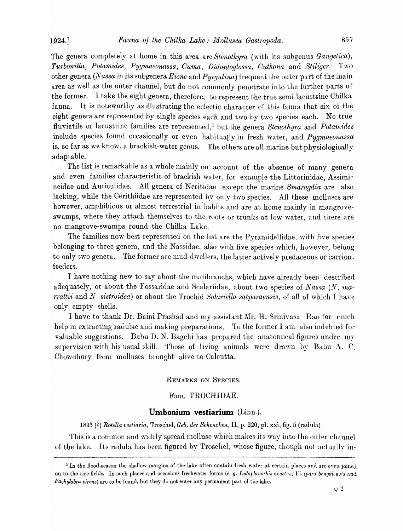The genera completely at home in this area are *Stenothyra* (with its subgenus *Gangetica*), *Turbonilla, Potamides, Pygmaeonassa, Ou'ma, Didontoglossa, Outlwna* and *Stiliger.* Two other genera *(Nassa in its subgenera Eione and Pyrgulina)* frequent the outer part of the main area as well as the outer channel, but do not commonly penetrate into the further parts of the former. I take the eight genera, therefore, to represent the true semi-lacustrine Chilka fauna. It is noteworthy as illustrating the eclectic chara~ter of this fauna that six of the eight genera are represented by single species each and two by two species each. No true fluviatile or lacustrine families are represented,<sup>1</sup> but the genera *Stenothyra* and *Potamides* include species found occasionaily or even habitually in fresh water, and *Pygmaeonassa*  is, so far as we know, a brackish-water genus. The others are all marine but physiologically adaptable.

The list is remarkable as a whole mainly on account of the absence of many genera and even families characteristic of brackish water, for example the Littorinidae, Assimineidae and Auriculidae. All genera of Neritidae eX'cept the' marine *Smaragdia* are also lacking, while the Cerithiidae are represented by only two species. All these molluscs are however, amphibious or almost terrestrial in'habits and are at home mainly in mangroveswamps, where they attach themselves to the roots or trunks at low water, and there are no mangrove-swamps round the Chilka Lake.

The families now best represented on the list are the Pyrannidellidae, with five species belonging to three genera, and the Nassidae, also with five species which, however, belong to only two genera. The former are mud-dwellers, the latter actively predaceous or carrionfeeders.

I have nothing new to say about the nudibranchs, which have already been described adequately, or about the Fossaridae and Scalariidae, about two species of Nassa  $(N.$  ma*rrattii* and *N* sistrvidea) or about the Trochid *Solariella satparaensis*, of all of which I have only empty shells.

I have to thank Dr. Baini Prashad and my assistant Mr. H. Srinivasa Rao for much help in extracting radulae and making preparations. To the former I am also indebted for valuable suggestions. Babu D. N. Bagchi has prepared the anatomical figures under my supervision with his usual skill. Those of living animals were drawn by Babu A. C. Chowdhury from molluscs brought alive to Calcutta.

#### REMARKS ON SPECIES,

#### Fam. TROCHIDAE.

#### **Umbonium vestiarium** (Linn.).

1893 (1) *Rotella vestiaria,* Troschel, *Geb. der Schencken,* II, p. 220, pI. xxi, fig. 5 (radula).

This is a common and widely spread mollusc which makes its way into the outer channel of the lake. Its radula has been figured by Troschel, whose figure, though not actually in-

<sup>&</sup>lt;sup>1</sup>In the flood-season the shallow margins of the lake often contain fresh water at certain places and are even joined on to the rice-fields. In such places and occasions freshwater forms (e. g. Indoplanorbis exustus, Vivipara bengalensis and *Pachylabra virens)* are to be found, but they do not enter any permanent part of the lake.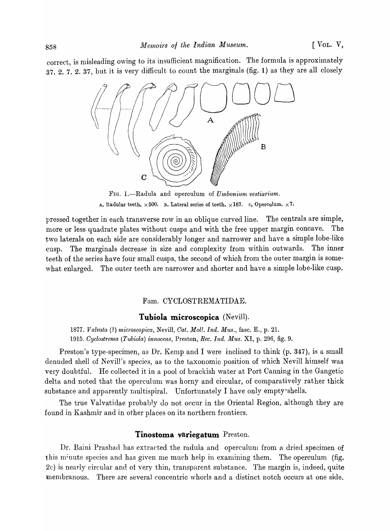correct, is misleading owing to its insufficient magnification. The formula is approximately 37. 2. 7. 2. 37, but it is very difficult to count the marginals (fig. 1) as they are all closely



FIG. 1.-Radula and operculum of *Umbonium vestiarium*. A, Radular teeth,  $\times 500$ . B, Lateral series of teeth,  $\times 167$ . c, Operculum,  $\times 7$ .

pressed together in each transverse row in an oblique curved line. The centrals are simple, more or less quadrate plates without cusps and with the free upper margin concave. The two laterals on each side are considerably longer and narrower and have a simple lobe-like cusp. The marginals decrease in size and complexity from within outwards. The inner teeth of the series have four small cusps, the second of which from the outer margin is somewhat enlarged. The outer teeth are narrower and shorter and have a simple lobe-like cusp.

#### Fam. CYCLOSTREMATIDAE.

#### **Tubiola microscopica** (Nevill).

*1877. Valvata* (1) *microscopica,* Nevill, *Oat. Moll. Ind. Mus.,* fasc. E., p. 2l. *1915. Cyclostrema (Tubiola) innocens,* Preston, *Rec. Ind. Mus.* XI, p. 296, fig. 9.

Preston's type-specimen, as Dr. Kemp and I were inclined to think (p. 347), is a small denuded shell of Nevill's species, as to the taxonomic position of \vhich Nevill himself was very doubtful. He collected it in a pool of brackish \vater at Port Canning in the Gangetic delta and noted that the operculum was horny and circular, of comparatively rather thick substance and apparently multispiral. Unfortunately I have only empty shells.

The true Valvatidae probably do not occur in the Oriental Region, although they are found in Kashmir and in other places on its northern frontiers.

#### **Tinostoma variegatum** Preston.

Dr. Baini Prashad has extracted the radula and operculum from a dried specimen of this m<sup>i</sup>nute species and has given me much help in examining them. The operculum (fig. 2c) is nearly circular and of very thin, transparent substance. The margin is, indeed, quite membranous. There are several concentric whorls and a distinct notch occurs at one side.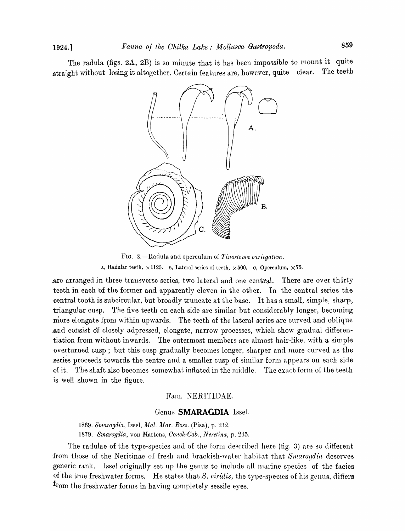The radula (figs. 2A, 2B) is so minute that it has been impossible to mount it quite straight without losing it altogether. Certain features are, however, quite clear. The teeth



FIG. 2.-Radula and operculum of *Tinostoma variegatum.*  A, Radular teeth,  $\times$  1125. B, Lateral series of teeth,  $\times$  500. c, Operculum,  $\times$  75.

. are arranged in three transverse series, two lateral and one central. There are over thirty teeth in each of the former and apparently eleven in the other. In the central series the central tooth is subcircular, but broadly truncate at the base. It has a small, simple, sharp, triangular cusp. The five teeth on each side are similar but considerably longer, becoming more elongate from within upwards. The teeth of the lateral series are curved and oblique .and consist df closely adpressed, elongate, narrow processes, which show gradual differentiation from without inwards. The outermost members are almost hair-like, with a simple overturned cusp; but this cusp gradually becomes longer, sharper and more curved as the series proceeds towards the centre and a smaller cusp of similar form appears on each side of it. The shaft also becomes somewhat inflated in the middle. The exact form of the teeth is well shown in the figure.

#### Fanl. NERITIDAE.

#### Genus **SMARAGDIA** Issel.

*1869. Smaragdia,* IsseI, *j}lal. ).Uar. Ross.* (Pisa), p. 212. 1879. Smaragdia, von Martens, *Conch-Cab., Neretina*, p. 245.

The radulae of the type-species and of the form described here (fig. 3) are so different from those of the Neritinae of fresh and brackish-water habitat that *Smaragdia* deserves generic rank. Issel originally set up the genus to include all marine species of the facies of the true freshwater forms. He states that S. viridis, the type-species of his genus, differs from the freshwater forms in having completely sessile eyes.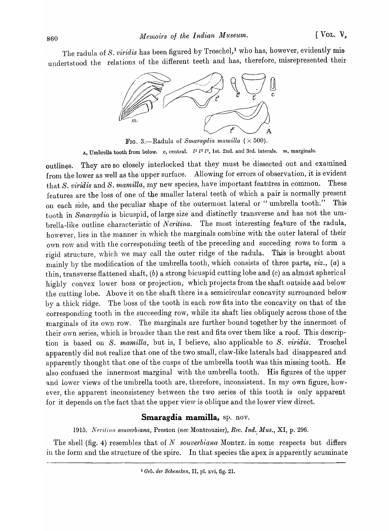The radula of S. *viridis* has been figured by Troschel,<sup>1</sup> who has, however, evidently misundertstood the relations of the different teeth and has, therefore, misrepresented their



FIG. 3.-Radula of *Smaragdia mamilla*  $(\times 500)$ . A, Umbrella tooth from below. *c*, central.  $l^1 l^2 l^3$ , 1st. 2nd. and 3rd. laterals. *m*, marginals.

outlines. They are so closely interlocked that they must be dissected out and examined from the lower as well as the upper surface. Allowing for errors of observation, it is evident that *S. viridis* and *S. mamilla*, my new species, have important features in common. These features are the loss of one of the smaller lateral teeth of which a pair is normally present on each side, and the peculiar shape of the outermost lateral or " umbrella tooth." This tooth in *Smaragdia* is bicuspid, of large size and distinctly transverse and has not the umbrella-like outline characteristic of *Neritina*. The most interesting feature of the radula, however, lies in the manner in which the marginals combine with the outer lateral of their own row and with the corresponding teeth of the preceding and succeding rows to form a rigid structure, which we may call the outer ridge of the radula. This is brought about niainly by the modification of the umbrella tooth, which consists of three parts, *viz.*, *(a)* a thin, transverse flattened shaft,  $(b)$  a strong bicuspid cutting lobe and  $(c)$  an almost spherical highly convex lower boss or projection, which projects from the shaft outside and below the cutting lobe. Above it on the shaft there is a semicircular concavity surrounded below by a thick ridge. The boss of the tooth in each row fits into the concavity on that of the corresponding tooth in the succeeding row, while its shaft lies obliquely across those of the marginals of its own row. The marginals are further bound together by the innermost of their own series, which is broader than the rest and fits over them like a roof. This description is based 011 S. *mamilla,* but is, I believe, also applicable to S. *viridis.* Troschel apparently did not realize that one of the two small, claw-like laterals had disappeared and apparently thought that one of the cusps of the umbrella tooth was this missing tooth. He also confused the innermost marginal with the umbrella tooth. His figures of the upper and lower views of the umbrella tooth are, therefore, inconsistent. In my own figure, however, the apparent inconsistency between the two series of this tooth is only apparent for it depends on the fact that the upper view is oblique and the lower view direct.

#### **Smaragdia mamilla,** sp. nov.

*1915. Neritina souverbiana,* Preston *(nee* Montrouzier), *Ree. Ind., Mus.,* XI, p. 296.

The shell (fig. 4) resembles that of  $N$  *souverbiana* Montrz. in some respects but differs in the form and the structure of the spire. In that species the apex is apparently acuminate

<sup>1</sup> *Geb. der Schencken,* II, pI. xvi, fig. 21.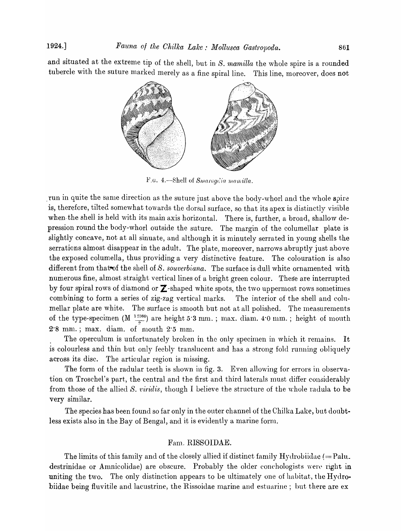and situated at the extreme tip of the shell, but in *S. mamilla* the whole spire is a rounded tubercle with the suture marked merely as a fine spiral line. This line, moreover, does not



F.G. 4.—Shell of Smaragaia mamilla.

run in quite the same direction as the suture just above the body-whorl and the whole spire is, therefore, tilted somewhat towards the dorsal surface, so that its apex is distinctly visible when the shell is held with its main axis horizontal. There is, further, a broad, shallow depression round the body-whorl outside the suture. The margin of the columellar plate is slightly concave, not at all sinuate, and although it is minutely serrated in young shells the serrations almost disappear in the adult. The plate, moreover, narrows abruptly just above the exposed columella, thus providing a very distinctive feature. The colouration is also different from that-of the shell of S. *souverbiana.* The surface is dull white ornamented with numerous fine, almost straight vertical lines of a bright green colour. These are interrupted by four spiral rows of diamond or  $\mathbb Z$ -shaped white spots, the two uppermost rows sometimes combining to form a series of zig-zag vertical marks. The interior of the shell and columellar plate are white. The surface is smooth but not at all polished. The measurements of the type-specimen (M  $\frac{12360}{2}$ ) are height 5.3 mm.; max. diam. 4.0 mm.; height of mouth  $2.8$  mm.; max. diam. of mouth  $2.5$  mm.

The operculum is unfortunately broken in the only specimen in which it remains. It is colourless and thin but only feebly translucent and has a strong fold running obliquely across its disc. The articular region is missing.

The form of the radular teeth is shown in fig. 3. Even allowing for errors in observation on Troschel's part, the central and the first and third laterals must differ considerably from those of the allied S. *viridis*, though I believe the structure of the whole radula to be very similar.

The species has been found so far only in the outer channel of the Chilka Lake, but doubtless exists also in the Bay of Bengal, and it is evidently a marine form.

#### Fam. RISSOIDAE.

The limits of this family and of the closely allied if distinct family Hydrobiidae  $(=$  Palu. destrinidae or Amnicolidae) are obscure. Probably the older conchologists were right in uniting the two. The only distinction appears to be ultimately one of habitat, the Hydrobiidae being fluvitile and lacustrine, the Rissoidae marine and estuarine; but there are ex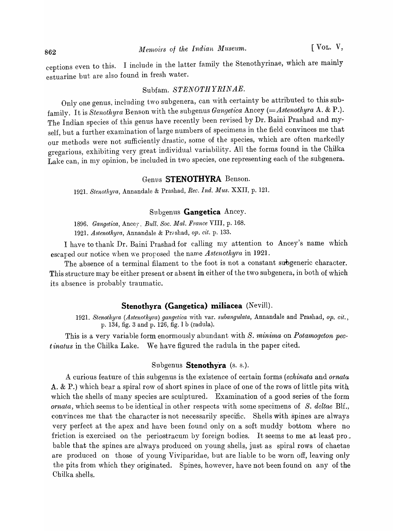ceptions even to this. I include in the latter family the Stenothyrinae, which are mainly estuarine but are also found in fresh water.

# Subfam. *STENOTHYRINAE.*

Only one genus, including two subgenera, can with certainty be attributed to this subfamily. It is *Stenothyra* Benson with the subgenus *Ganget'iea* Ancey *(=Astenothyra* A. & P.). The Indian species of this genus have recently been revised by Dr. Baini Prashad and myself, but a further examination of large numbers of specimens in the field convinces me that our methods were not sufficiently drastic, some of the species, which are often markedly gregarious, exhibiting very great individual variability. All the forms found in the Chilka Lake can, in my opinion, be included in two species, one representing each of the subgenera.

# Genus **STENOTHYRA** Benson.

1921. *Stenotllyra,* Annandale & Prashad, *Rec. Ind. Mus.* XXII, p. 121.

# Subgenus **Gangetica** Ancey.

*1896. Gangetica,* Ancey, *Bull. Soc. Mal. France* VIII, p. 168.

1921. *Astenothyra*, Annandale & Prashad, op. cit. p. 133.

I have to thank Dr. Baini Prashad for calling my attention to Ancey's name which escaped our notice when we proposed the name Astenothyra in 1921.

The absence of a terminal filament to the foot is not a constant subgeneric character. This structure may be either present or absent in either of the two subgenera, in both of which its absence is probably traumatic.

#### **Stenotbyra (Gangetica) miliacea** (Nevill).

1921. *Stenothyra (Astenothyra) gangetica with var. subangulata*, Annandale and Prashad, *op. cit.*, p. 134, fig. 3 and p. 126, fig. 1 b (radula).

This is a very variable form enormously abundant with *S. minima* on *Potamogeton pec*t *inatus* in the Chilka Lake. We have figured the radula in the paper cited.

#### Subgenus **Stenothyra** (s. s.).

A curious feature of this subgenus is the existence of certain forms *(eehinata* and *ornata*  A. & P.) which bear a spiral row of short spines in place of one of the rows of little pits with which the shells of many species are sculptured. Examination of a good series of the form *ornata,* which seems to be identical in other respects vvith some specimens of *S. deltae* Blf., convinces me that the character is not necessarily specific. Shells with spines are always very perfect at the apex and have been found only on a soft muddy bottom where no friction is exercised on the periostracum by foreign bodies. It seems to me at least pro. bable that the spines are always produced on young shells, just as spiral rows of chaetae are produced on those of young Viviparidae, but are liable to be worn off, leaving only the pits from which they originated. Spines, however, have not been found on any of the Chilka shells.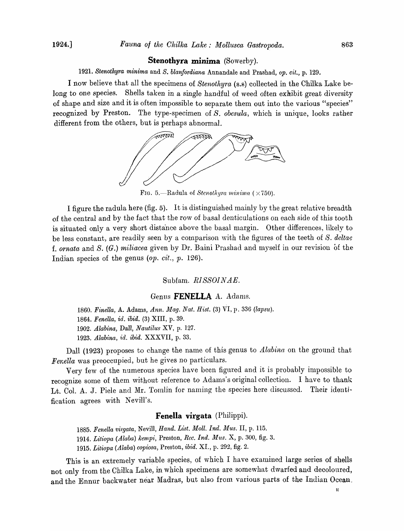#### **Stenothyra minima** (Sowerby).

1921. *Stenothyra minima* and *S. blanfordiana* Annandale and Prashad, *op. cit.,* p. 129.

I now believe that all the specimens of *Stenothyra* (s.s) collected in the Chilka Lake belong to one species. Shells taken in a single handful of weed often exhibit great diversity of shape and size and it is often impossible to separate them out into the various "species" recognized by Preston. The type-specimen of *S. obesula,* which is unique, looks rather different from the others, but is perhaps abnormal.



FIG. 5.—Radula of *Stenothyra minima*  $(\times 750)$ .

I figure the radula here (fig. 5). It is distinguished mainly by the great relative breadth of the central and by the fact that the row of basal denticulations on each side of this tooth is situated only a very short distance above the basal margin. Other differences, likely to be less constant, are readily seen by a comparison with the figures of the teeth of S. *deltae*  f. *ornata* and S. (G.) *miliacea* given by Dr. Baini Prashad and Inyself in our revision of the Indian species of the genus *(op. cit., p.* 126).

#### Subfam. *RISSOINAE*.

#### Genus FENELLA A. Adams.

1860. Finella, A. Adams, *Ann. Mag. Nat. Hist.* (3) VI, p. 336 *(lapsu)*. *1864. Fenella, id. ibid.* (3) XIII, p. 39. *1902. Alabina,* Dall, *Nautilus* XV, p. 127. *1923. Alabina, id. ibid.* XXXVII, p. 33.

Dall (1923) proposes to change the name of this genus to *Alabina* on the ground that *Fenella* was preoccupied, but he gives no particulars.

Very few of the numerous species have been figured and it is probably impossible to recognize some of them without reference to Adams's original collection. I have to thank Lt. Col. A. J. Piele and Mr. Tomlin for naming the species here discussed. Their identification agrees with Nevill's.

#### **Fenella virgata** (Philippi).

1885. Fenella virgata, Nevill, *Hand. List. Moll. Ind. Mus. II, p. 115. 1914. Litiopa (Alaba) kemp?:,* Preston, *Rcc. Ind. Mus.* X, p. 300, fig. 3. *1915. Litiopa (Alaba) copiosa,* Preston, *ibid.* XL, p. 292, fig. 2.

This is an extremely variable species, of which I have examined large series of shells not only from the Chilka Lake, in which specimens are somewhat dwarfed and decoloured, and the Ennur backwater near Madras, but also from various parts of the Indian Ocean.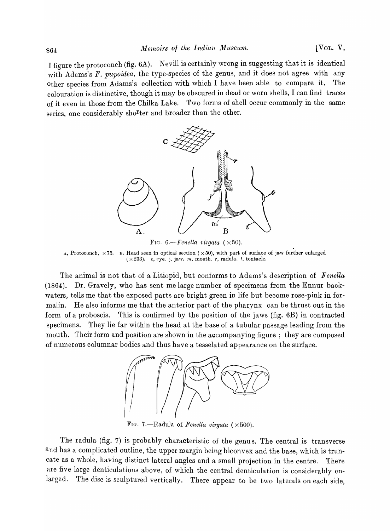I figure the protoconch (fig. 6A). Nevill is certainly wrong in suggesting that it is identical with Adams's *F. pupoidea*, the type-species of the genus, and it does not agree with any other species from Adams's collection with which I have been able to compare it. The colouration is distinctive, though it may be obscured in dead or worn shells, I can find traces of it even in those from the Chilka Lake. Two forms of shell occur commonly in the same series, one considerably sho<sup>r</sup>ter and broader than the other.



FIG.  $6$ -Fenella virgata  $(\times 50)$ .

A, Protoconch,  $\times 75$ . B. Head seen in optical section ( $\times 50$ ), with part of surface of jaw further enlarged  $(x 233)$ . *e, eye.* j, jaw. *m*, mouth. *r*, *radula. <i>t*, *tentacle.* 

The animal is not that of a Litiopid, but conforms to Adams's description of *Fenella*  (1864). Dr. Gravely, who has sent me large number of specimens from the Ennur backwaters, tells me that the exposed parts are bright green in life but become rose-pink in formalin. He also informs me that the anterior part of the pharynx can be thrust out in the form of a proboscis. This is confirmed by the position of the jaws (fig. 6B) in contracted specimens. They lie far within the head at the base of a tubular passage leading from the mouth. Their form and position are shown in the accompanying figure; they are composed of numerous columnar bodies and thus have a tesselated appearance on the surface.



FIG. 7.—Radula of *Fenella virgata*  $(\times 500)$ .

The radula (fig. 7) is probably characteristic of the genus. The central is transverse and has a complicated outline, the upper margin being biconvex and the base, which is truncate as a whole, having distinct lateral angles and a small projection in the centre. There are five large denticulations above, of which the central denticulation is considerably enlarged. The disc is sculptured vertically. There appear to be two laterals on each side,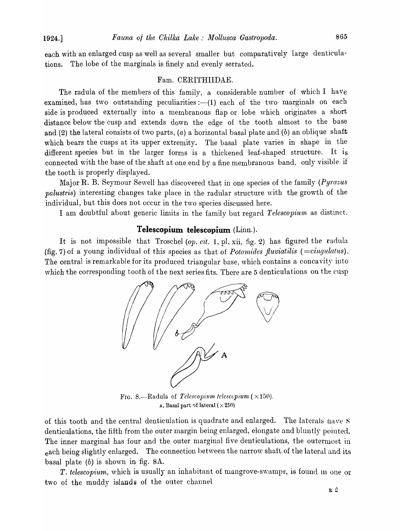each with an enlarged cusp as well as several smaller but comparatively large denticulations. The lobe of the marginals is finely and evenly serrated.

#### Fam. CERITHIIDAE.

The radula of the members of this family, a considerable number of which I have examined, has two outstanding peculiarities  $:-(1)$  each of the two marginals on each side is produced externally into a membranous flap or lobe which originates a short distance below the cusp and extends down the edge of the tooth almost to the base and (2) the lateral consists of two parts, (a) a horizontal basal plate and (b) an oblique shaft which bears the cusps at its upper extremity. The basal plate varies in shape in the different species but in the larger forms is a thickened leaf-shaped structure. It is connected with the base of the shaft at one end by a fine membranous band, only visible if the tooth is properly displayed.

l\1ajor R. B. Seymour Sewell has discovered that in one species of the family *(Pyrazus palustris)* interesting changes take place in the radular structure with the growth of the individual, but this does not occur in the two species discussed here.

I am doubtful about generic limits in the family but regard Telescopium as distinct.

#### **Telescopium telescopium** (Linn.).

It is not impossible that Troschel *(op. cit.* 1, pI. xii, fig. 2) has figured the radula (fig. 7) of a young individual of this species as that of *Potamides fluviatilis* ( $=$ cingulatus). The central is remarkable for its produced triangular base, which contains a concavity into which the corresponding tooth of the next series fits. There are 5 denticulations on the eusp



FIG. 8.-Radula of *Telescopium telescopium*  $(\times 150)$ .  $\Delta$ , Basal part of lateral ( $\times$  250)

of this tooth and the central denticulation is quadrate and enlarged. The laterals have S denticulations, the fifth from the outer margin being enlarged, elongate and bluntly pointed. The inner marginal has four and the outer marginal five denticulations, the outermost in each being slightly enlarged. The connection between the narrow shaft of the lateral and its basal plate (b) is shown in fig. 8A.

*T. telescopium,* which is usually an inhabitant of mangrove-swamps, is found in one or two of the muddy islands of the outer channel.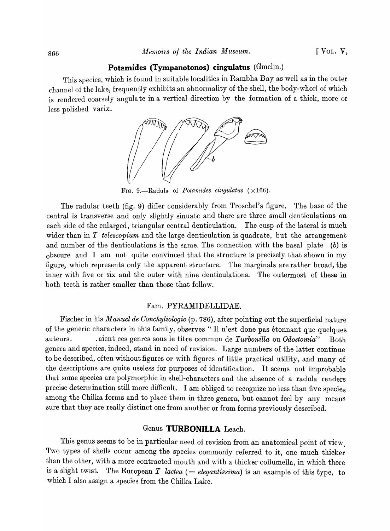#### **Potamides (Tympanotonos) cingulatus** (Gmelin.)

This species, which is found in suitable localities in Rambha Bay as well as in the outer channel of the lake, frequently exhibits an abnormality of the shell, the body-whorl of which is rendered coarsely angula te in a vertical direction by the formation of a thick, more or less polished varix.



FIG. 9.—Radula of *Potamides cingulatus*  $(\times 166)$ .

The radular teeth (fig. 9) differ considerably from Troschel's figure. The base of the central is transverse and only slightly smuate and there are three small denticulations on each side of the enlarged, triangular central denticulation. The cusp of the lateral is much wider than in *T* telescopium and the large denticulation is quadrate, but the arrangement and number of the denticulations is the same. The connection with the basal plate  $(b)$  is obscure and I am not quite convinced that the structure is precisely that shown in my figure, which represents only the apparent structure. The marginals are rather broad, the inner with five or six and the outer with nine denticulations. The outermost of these in both teeth is rather smaller than those that follow.

#### Fam. PYRAMIDELLIDAE.

Fischer in his *Manuel de Oonchyliologie* (p. 786), after pointing out the superficial nature of the generic characters in this family, observes *'i* II n'est done pas etonnant que quelques auteurs. . . . aient ces genres sous le titre commun de *Turbonilla* ou *Odostomia*" Both genera and species, indeed, stand in need of revision. Large numbers of the latter continue to be described, often without figures or with figures of little practical utility, and many of the descriptions are quite useless for purposes of identification. It seems not improbable that some species are polymorphic in shell-characters and the absence of a radula renders precise determination still more difficult. I am obliged to recognize no less than five species among the Chilka forms and to place them in three genera, but cannot feel by any means sure that they are really distinct one from another or from forms previously described.

# Genus **TURBONILLA** Leach.

This genus seems to be in particular need of revision from an anatomical point of view. Two types of shells occur among the species commonly referred to it, one much thicker than the other, with a more contracted mouth and with a thicker collumella, in which there is a slight twist. The European  $T$  *lactea* (= *elegantissima*) is an example of this type, to which I also assign a species from the Chilka Lake.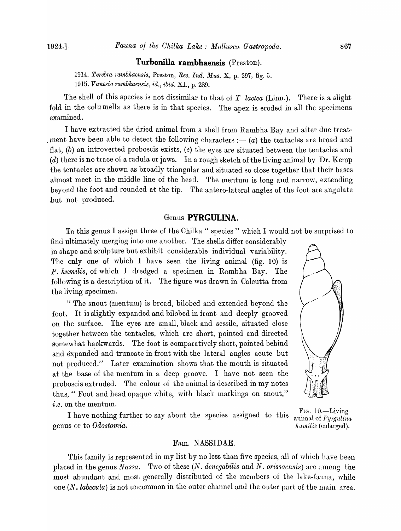#### **Turbonilla rambhaensis** (Preston).

*1914. Terebra* <sup>1</sup> *o ambhaensis,* Preston, *Rec. Ind. Mus.* X, p. 297, fig. 5. *1915. Vanesia rambhaensis, id., ibid.* XI., p. 289.

The shell of this species is not dissimilar to that of *T* lactea (Linn.). There is a slight fold in the columella as there is in that species. The apex is eroded in all the specimens examined.

I have extracted the dried animal from a shell from Rambha Bay and after due treat ment have been able to detect the following characters  $: (a)$  the tentacles are broad and flat, (b) an introverted proboscis exists, (c) the eyes are situated between the tentacles and  $(d)$  there is no trace of a radula or jaws. In a rough sketch of the living animal by Dr. Kemp the tentacles are shown as broadly triangular and situated so close together that their bases almost meet in the middle line of the head. The mentum is long and narrow, extending beyond the foot and rounded at the tip. The antero-lateral angles of the foot are angulate ,but not produced.

#### Genus **PYRGULINA.**

To this genus I assign three of the Chilka " species " which I would not be surprised to

find ultimately merging into one another. The shells differ considerably in shape and sculpture but exhibit considerable individual variability. The only one of which I have seen the living animal (fig. 10) is P. *humilis,* of which I dredged a specimen in Rambha Bay. The following is a description of it. The figure was drawn in Calcutta from the living specimen.

" The snout (mentum) is broad, bilobed and extended beyond the foot. It is slightly expanded and bilobed in front and deeply grooved on the surface. The eyes are small, black and sessile, situated close together between the tentacles, which are short, pointed and directed somewhat backwards. The foot is comparatively short, pointed behind and expanded and truncate in front with the lateral angles acute but not produced." Later examination shows that the mouth is situated at the base of the mentum in a deep groove. I have not seen the proboscis extruded. The colour of the animal is described in my notes thus, " Foot and head opaque white, with black markings on snout,"



*i.e.* on the mentum.<br>I have nothing further to say about the species assigned to this  $\frac{\text{Fig. 10.} - \text{Living}}{\text{animal of } Pyrgulina}$ genus or to *Odostomia*. humilis (enlarged).

#### Fanl. NASSIDAE.

This family is represented in my list by no less than five species, all of which have been placed in the genus *Nassa.* Two of these *(N. denegabilis* and *N. orissaensis)* are among the most abundant and most generally distributed of the members of the lake-fauna, while one  $(N, \text{labeled})$  is not uncommon in the outer channel and the outer part of the main area.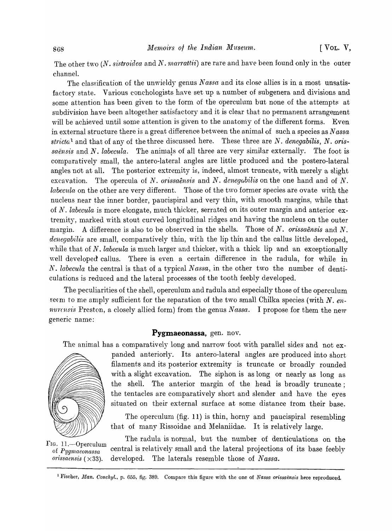The other two (N. sistroidea and N. marrattii) are rare and have been found only in the outer channel.

The classification of the unwieldy genus Nassa and its close allies is in a most unsatisfactory state. Various conchologists have set up a number of subgenera and divisions and some attention has been given to the form of the operculum but none of the attempts at subdivision have been altogether satisfactory and it is clear that no permanent arrangement will be achieved until some attention is given to the anatomy of the different forms. Even in external structure there is a great difference bet\veen the animal of such a species as *N assa stricta*1 and that of any of the three discussed here. These three are N. *denegabilis,* N. *oris·*  saënsis and N. *labecula*. The animals of all three are very similar externally. The foot is comparatively small, the antero-Iateral angles are little produced and the postero-Iateral angles not at all. The posterior extremity is, indeed, almost truncate, with merely a slight excavation. The opercula of N. *orissaensis* and N. *denegabilis* on the one hand and of N. *labecula* on the other are very different. Those of the two former species are ovate with the nucleus near the inner border, paucispiral and very thin, with smooth margins, while that of N. *labecula* is more elongate, much thicker, serrated on its outer margin and anterior extremity, marked with stout curved longitudinal ridges and having the nucleus on the outer margin. A difference is also to be observed in the shells. Those of N. *orissaensis* and N. denegabilis are small, comparatively thin, with the lip thin and the callus little developed. while that of N. *labecula* is much larger and thicker, with a thick lip and an exceptionally well developed callus. There is even a certain difference in the radula, for while in *N. labecula* the central is that of a typical *Nassa*, in the other two the number of denticulations is reduced and the lateral processes of the tooth feebly developed.

The peculiarities of the shell, operculum and radula and especially those of the operculum seem to me amply sufficient for the separation of the two small Chilka species (with N. *en*nurcasis Preston, a closely allied form) from the genus *Nassa*. I propose for them the new generic name:

# **Pygmaeonassa,** gen. nov.

The animal has a comparatively long and narrow foot with parallel sides and not ex-



panded anteriorly. Its antero-lateral angles are produced into short filaments and its posterior extremity is truncate or broadly rounded with a slight excavation. The siphon is as long or nearly as long as the shell. The anterior margin of the head is broadly truncate; the tentacles are comparatively short and slender and have the eyes situated on their external surface at some distance from their base.

The operculum (fig. 11) is thin, horny and paucispiral resembling that of many Rissoidae and Melaniidae. It is relatively large.

The radula is normal, but the number of denticulations on the FIG. 11.—Operculum central is relatively small and the lateral projections of its base feebly of *Pygmaeonassa The laterals resemble those of <i>Nassa*.

<sup>1</sup> Fischer, *Man. Conchyl.*, p. 655, fig. 389. Compare this figure with the one of *Nassa orissaënsis* here reproduced.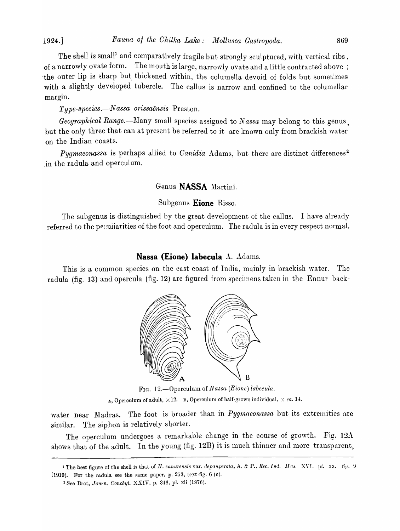The shell is small<sup>1</sup> and comparatively fragile but strongly sculptured, with vertical ribs, of a narrowly ovate form. The mouth is large, narrowly ovate and a little contracted above; the outer lip is sharp but thickened within, the columella devoid of folds but sometimes with a slightly developed tubercle. The callus is narrow and confined to the columellar margin.

*Type-species.*—Nassa orissaensis Preston.

*Geographical Range*.--Many small species assigned to *Nassa* may belong to this genus, but the only three that can at present be referred to it are known only from brackish water on the Indian coasts.

*Pygmaeonassa* is perhaps allied to *Canidia* Adams, but there are distinct differences<sup>2</sup> jn the radula and operculum.

#### Genus **NASSA** Martini.

#### Subgenus **Eione** Risso.

The subgenus is distinguished by the great development of the callus. I have already referred to the pequilarities of the foot and operculum. The radula is in every respect normal.

#### Nassa (Eione) labecula A. Adams.

This is a common species on the east coast of India, mainly in brackish water. The radula (fig. 13) and opercula (fig. 12) are figured from specimens taken in the Ennur back-



FIG. 12.-0perculum of *Nassa (Eione) labecula.* 

 $A$ , Operculum of adult,  $\times$ 12. B, Operculum of half-grown individual,  $\times$  *ca.* 14.

water near Madras. The foot is broader than in *Pygmaeonassa* but its extremities are similar. The siphon is relatively shorter.

The operculum undergoes a remarkable change in the course of growth. Fig. 12A shows that of the adult. In the young (fig. 12B) it is much thinner and more transparent,

<sup>&</sup>lt;sup>1</sup> The best figure of the shell is that of *N. ennurensis* var. *depanperata*, A. & P., *Rec. Ind. Mus. XVI.* pl. xx. fig. 9 (1919). For the radula see the pame paper, p. 253, text-fig. 6 (c).

<sup>2</sup>See Brot~ *Journ. Conchyl.* XXIV, p. *3M3,* pI. xii (1876).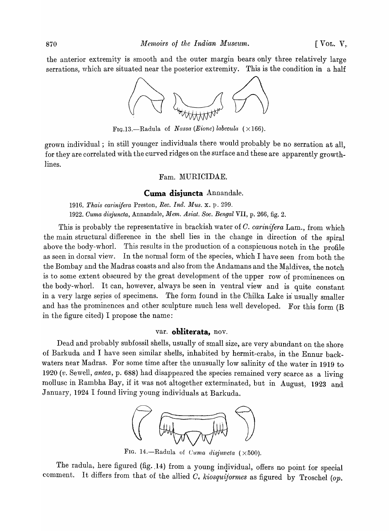the anterior extremity is smooth and the outer margin bears only three relatively large serrations, which are situated near the posterior extremity. This is the condition in a half



FIG.13.—Radula of Nassa (Eione) labecula ( $\times$ 166).

grown individual; in still younger individuals there would probably be no serration at all. for they are correlated with the curved ridges on the surface and these are apparently growthlines.

#### Fam. MURICIDAE.

#### **Cuma disjuncta** Annandale.

*1916. Thais carinifera* Preston, *Ree. Ind. Mus.* x. p. 299. *1922. Ouma disjuncta,* Annandale, *Mem. Asiat. Soc. Bengal* VII, p. 266, fig. 2.

This is probably the representative in brackish water of C. *carinifera* Lam., from which the main structural difference in the shell lies in the change in direction of the spiral above the body-whorl. This results in the production of a conspicuous notch in the profile as seen in dorsal view. In the normal form of the species, which I have seen from both the the Bombay and the Madras coasts and also from the Andamans and the Maldives, the notch is to some extent obscured by the great development of the upper row of prominences on the body-whorl. It can, however, always be seen in yentral view and is quite constant in a very large series of specimens. The form found in the Chilka Lake is usually smaller and has the prominences and other sculpture much less well developed. For this form (B in the figure cited) I propose the name:

#### var. **obliterata,** nov.

Dead arid probably subfossil shells, usually of small size, are very abundant on the shore of Barkuda and I have seen similar shells, inhabited by hermit-crabs, in the Ennur backwaters near Madras. For some time after the unusually low salinity of the water in 1919 to *1920 (v.* Sewell, *antea,* p. 688) had disappeared the species remained very scarce as a living mollusc in Rambha Bay, if it was not altogether exterminated, but in August, 1923 and January, 1924 I found living young individuals at Barkuda.



FIG. 14.-Radula of *Cuma disjuncta*  $(\times 500)$ .

The radula, here figured (fig. 14) from a young individual, offers no point for special comment. It differs from that of the allied G\ *kiosquijormes* as figured by Troschel *(op.*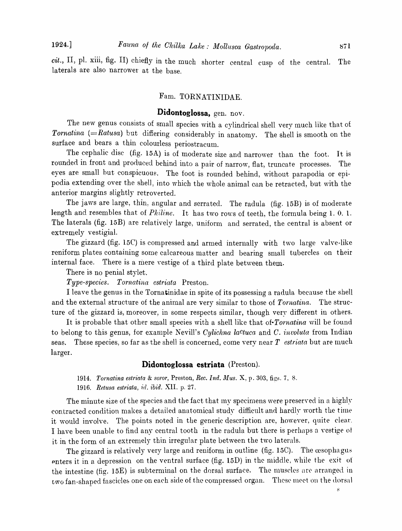*cit.,* II, pl. xiii, fig. II) chiefly in the much shorter central cusp of the central. The la terals are also narrower at the base.

# Fam. TORNATINIDAE.

# **Didontoglossa,** gen. nov.

The new genus consists of small species with a cylindrical shell very much like that of *Tornatina (=Ratusa)* but differing considerably in anatomy. The shell is smooth on the surface and bears a thin colourless periostracum.

The cephalic disc (fig. 15A) is of moderate size and narrower than the foot. It is rounded in front and produced behind into a pair of narrow, flat, truncate processes. The eyes are small but conspicuous. The foot is rounded behind, without parapodia or epipodia extending over the shell, into which the whole animal can be retracted, but with the anterior margins slightly retroverted.

The jaws are large, thin, angular and serrated. The radula (fig. 15B) is of moderate length and resembles that of *Philine*. It has two rows of teeth, the formula being 1.0.1. The laterals (fig. 15B) are relatively large, uniform and serrated, the central is absent or extremely vestigial.

The gizzard (fig. 15C) is compressed and armed internally with two large valve-like reniform plates containing some calcareous matter and bearing small tubercles on their internal face. There is a mere yestige of a third plate between them.

There is no penial stylet.

*Type-species. Tornatina estriata* Preston.

I leave the genus in the Tornatinidae in spite of its possessing a radula because the shell and the external structure of the animal are very similar to those of *Tornatina.* The structure of the gizzard is, moreover, in some respects similar, though very different in others.

It is probable that other small species with a shell like that *of·Tornatina* will be found to belong to this genus, for example Nevill's *Cylichna lactuca* and *C. involuta* from Indian seas. These species, so far as the shell is concerned, come very near  $T$  *estriata* but are much larger.

#### **Didontoglossa estriata** (Preston).

*1914. Tornatina estriata & soror, Preston, Rec. Ind. Mus. X, p. 303, figs. 7, 8.* 

1916. Retusa estriata, id. *ibid.* XII. p. 27.

The minute size of the species and the fact that my specimens were preserved in a highly contracted condition makes a detailed anatomical study difficult and hardly worth the time it would involve. The points noted in the generic description are, however, quite clear. I have been unable to find any central tooth in the radula but there is perhaps u vestige ot it in the form of an extremely thin irregular plate between the two laterals.

The gizzard is relatively very large and reniform in outline (fig.  $15C$ ). The  $\alpha$ sophagus enters it in a depression on the ventral surface (fig. 15D) in the middle, while the exit of the intestine (fig. 15E) is subterminal on the dorsal surface. The muscles are arranged in two fan-shaped fascicles one on each side of the compressed organ. These meet on the dorsal

 $\mathbf{s}$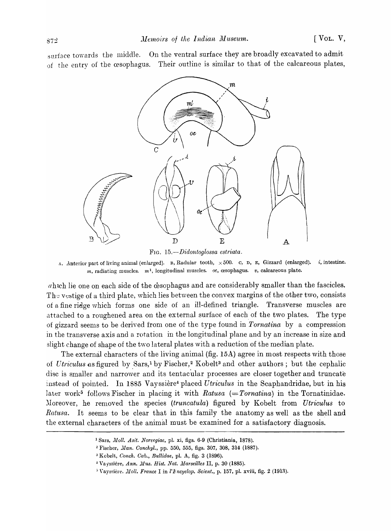surface towards the middle. On the ventral surface they are broadly excavated to admit of the entry of the cesophagus. Their outline is sinlilar to that of the calcareous plates,



FIG. *15.-Didontoglossa estriata.* 

A, Anterior part of living animal (enlarged). B, Radular tooth,  $\times 500$ . C, D, E, Gizzard (enlarged). *i*, intestine.  $m$ , radiating muscles.  $m<sup>1</sup>$ , longitudinal muscles.  $oe$ ,  $o$ esophagus.  $v$ , calcareous plate.

which lie one on each side of the cesophagus and are considerably smaller than the fascicles. The vestige of a third plate, which lies between the convex margins of the other two, consists of a fine ridge which forms one side of an ill-defined triangle. Transverse muscles are attached to a roughened area on the external surface of each of the two plates. The type of gizzard seems to be derived from one of the type found in *Tornatina* by a compression in the transverse axis and a rotation in the longitudinal plane and by an increase in size and slight change of shape of the two lateral plates with a reduction of the median plate.

The external characters of the living animal (fig. 15A) agree in most respects with those of *Utriculus* as figured by Sars,<sup>1</sup> by Fischer,<sup>2</sup> Kobelt<sup>3</sup> and other authors; but the cephalic disc is smaller and narrower and its tentacular processes are closer together and truncate instead of pointed. In 1885 Vayssiere4 placed *Cltriculus* in the Scaphandridae, but in his later work<sup>5</sup> follows Fischer in placing it with *Ratusa* (=Tornatina) in the Tornatinidae. Moreover, he removed the species *(truncatula)* figured by Kobelt from *Utriculus* to *Ratusa*. It seems to be clear that in this family the anatomy as well as the shell and the external characters of the animal must be examined for a satisfactory diagnosis.

<sup>&</sup>lt;sup>1</sup> Sars, *Moll. Asit. Norvegiae*, pl. xi, figs. 6-9 (Christiania, 1878).

<sup>&</sup>lt;sup>2</sup> Fischer, *Man. Conchyl.*, pp. 550, 555, figs. 307, 308, 314 (1887).

<sup>3</sup> Kobelt, *Conch. Cab., Bullidae,* pl. A, fig. 3 (1896) •

<sup>&</sup>lt;sup>1</sup> Vayssière, *Ann. Mus. Hist. Nat. Marseilles* II, p. 30 (1885).

<sup>&</sup>lt;sup>5</sup> Vayssière. *Moll. France* I in *l' Encyclop. Scient.*, p. 157, pl. xviii, fig. 2 (1913).